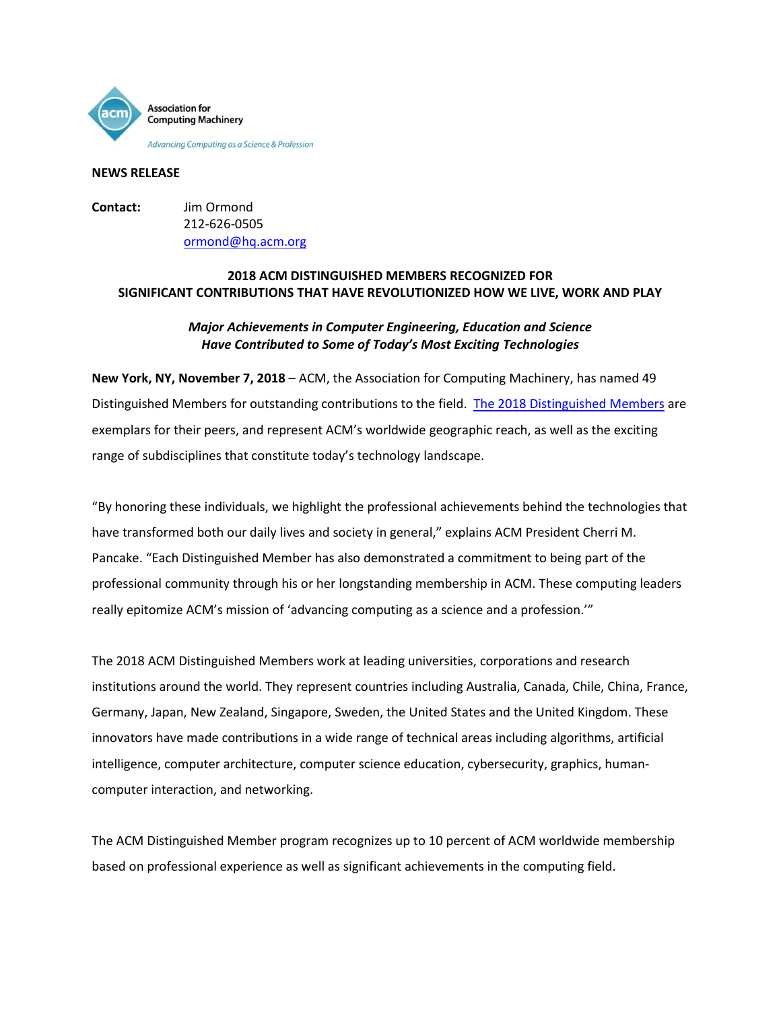

#### **NEWS RELEASE**

**Contact:** Jim Ormond 212-626-0505 [ormond@hq.acm.org](mailto:ormond@hq.acm.org)

# **2018 ACM DISTINGUISHED MEMBERS RECOGNIZED FOR SIGNIFICANT CONTRIBUTIONS THAT HAVE REVOLUTIONIZED HOW WE LIVE, WORK AND PLAY**

# *Major Achievements in Computer Engineering, Education and Science Have Contributed to Some of Today's Most Exciting Technologies*

**New York, NY, November 7, 2018** – ACM, the Association for Computing Machinery, has named 49 Distinguished Members for outstanding contributions to the field. [The 2018 Distinguished Members](https://awards.acm.org/award_winners?year=2018&award=157) are exemplars for their peers, and represent ACM's worldwide geographic reach, as well as the exciting range of subdisciplines that constitute today's technology landscape.

"By honoring these individuals, we highlight the professional achievements behind the technologies that have transformed both our daily lives and society in general," explains ACM President Cherri M. Pancake. "Each Distinguished Member has also demonstrated a commitment to being part of the professional community through his or her longstanding membership in ACM. These computing leaders really epitomize ACM's mission of 'advancing computing as a science and a profession.'"

The 2018 ACM Distinguished Members work at leading universities, corporations and research institutions around the world. They represent countries including Australia, Canada, Chile, China, France, Germany, Japan, New Zealand, Singapore, Sweden, the United States and the United Kingdom. These innovators have made contributions in a wide range of technical areas including algorithms, artificial intelligence, computer architecture, computer science education, cybersecurity, graphics, humancomputer interaction, and networking.

The ACM Distinguished Member program recognizes up to 10 percent of ACM worldwide membership based on professional experience as well as significant achievements in the computing field.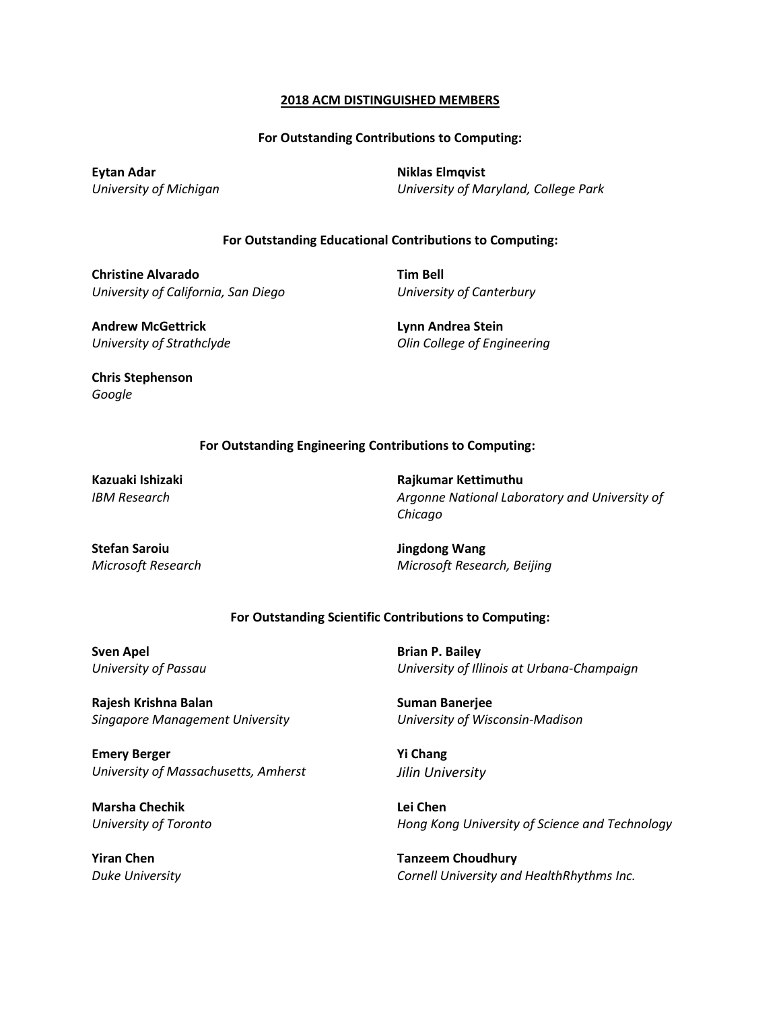#### **2018 ACM DISTINGUISHED MEMBERS**

#### **For Outstanding Contributions to Computing:**

**Eytan Adar** *University of Michigan* **Niklas Elmqvist** *University of Maryland, College Park*

### **For Outstanding Educational Contributions to Computing:**

**Christine Alvarado** *University of California, San Diego* **Tim Bell** *University of Canterbury*

**Andrew McGettrick** *University of Strathclyde* **Lynn Andrea Stein** *Olin College of Engineering* 

**Chris Stephenson** *Google*

## **For Outstanding Engineering Contributions to Computing:**

**Kazuaki Ishizaki** *IBM Research*

**Stefan Saroiu** *Microsoft Research* 

**Rajkumar Kettimuthu** *Argonne National Laboratory and University of Chicago*

**Jingdong Wang**  *Microsoft Research, Beijing*

## **For Outstanding Scientific Contributions to Computing:**

**Sven Apel** *University of Passau*

**Rajesh Krishna Balan**  *Singapore Management University*

**Emery Berger** *University of Massachusetts, Amherst*

**Marsha Chechik**  *University of Toronto*

**Yiran Chen** *Duke University* **Brian P. Bailey**  *University of Illinois at Urbana-Champaign*

**Suman Banerjee**  *University of Wisconsin-Madison* 

**Yi Chang**  *Jilin University*

**Lei Chen** *Hong Kong University of Science and Technology* 

**Tanzeem Choudhury** *Cornell University and HealthRhythms Inc.*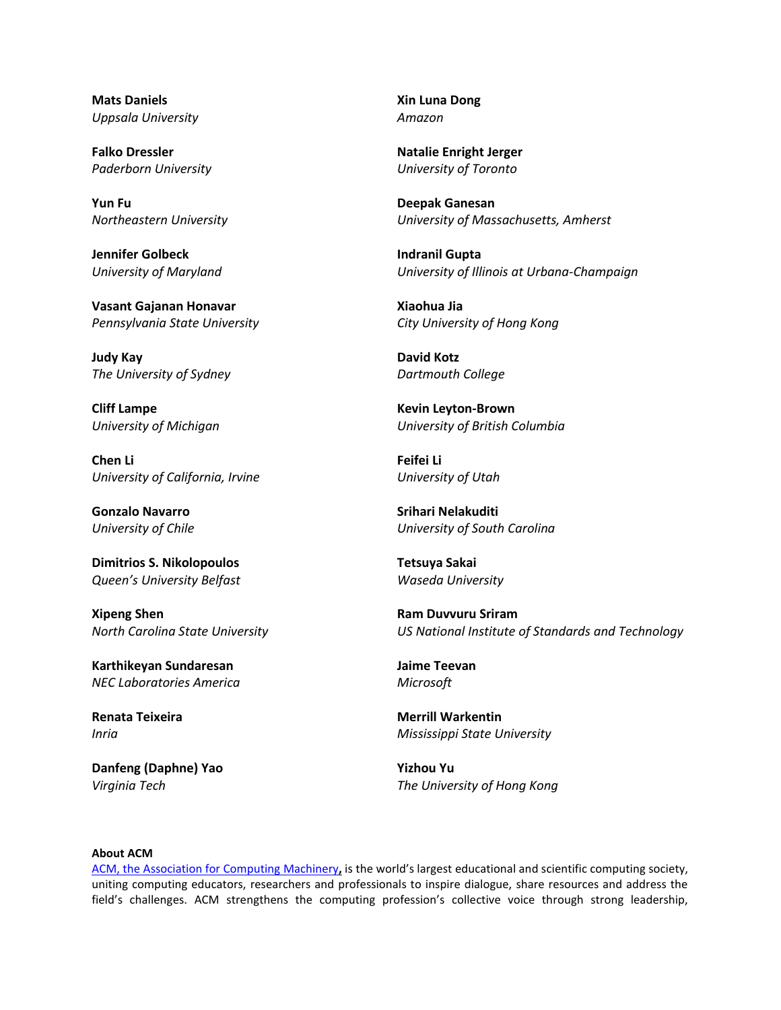**Mats Daniels** *Uppsala University*

**Falko Dressler** *Paderborn University*

**Yun Fu**  *Northeastern University*

**Jennifer Golbeck** *University of Maryland*

**Vasant Gajanan Honavar** *Pennsylvania State University*

**Judy Kay** *The University of Sydney*

**Cliff Lampe**  *University of Michigan* 

**Chen Li**  *University of California, Irvine*

**Gonzalo Navarro**  *University of Chile* 

**Dimitrios S. Nikolopoulos** *Queen's University Belfast*

**Xipeng Shen** *North Carolina State University*

**Karthikeyan Sundaresan** *NEC Laboratories America* 

**Renata Teixeira** *Inria*

**Danfeng (Daphne) Yao**  *Virginia Tech* 

**Xin Luna Dong** *Amazon* 

**Natalie Enright Jerger**  *University of Toronto* 

**Deepak Ganesan** *University of Massachusetts, Amherst*

**Indranil Gupta** *University of Illinois at Urbana-Champaign*

**Xiaohua Jia** *City University of Hong Kong* 

**David Kotz** *Dartmouth College*

**Kevin Leyton-Brown**  *University of British Columbia* 

**Feifei Li**  *University of Utah* 

**Srihari Nelakuditi** *University of South Carolina* 

**Tetsuya Sakai** *Waseda University*

**Ram Duvvuru Sriram** *US National Institute of Standards and Technology*

**Jaime Teevan** *Microsoft*

**Merrill Warkentin**  *Mississippi State University* 

**Yizhou Yu**  *The University of Hong Kong* 

#### **About ACM**

[ACM, the Association for Computing Machinery](https://www.acm.org/)**[,](https://www.acm.org/)** is the world's largest educational and scientific computing society, uniting computing educators, researchers and professionals to inspire dialogue, share resources and address the field's challenges. ACM strengthens the computing profession's collective voice through strong leadership,